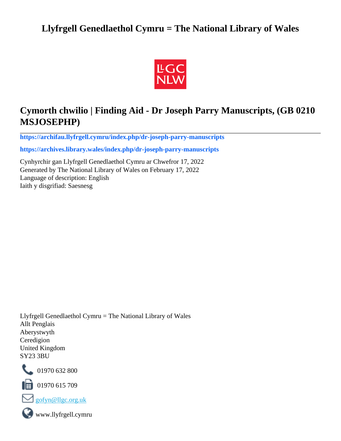# **Llyfrgell Genedlaethol Cymru = The National Library of Wales**



# **Cymorth chwilio | Finding Aid - Dr Joseph Parry Manuscripts, (GB 0210 MSJOSEPHP)**

**[https://archifau.llyfrgell.cymru/index.php/dr-joseph-parry-manuscripts](https://archifau.llyfrgell.cymru/index.php/dr-joseph-parry-manuscripts;isad?sf_culture=cy)**

**[https://archives.library.wales/index.php/dr-joseph-parry-manuscripts](https://archives.library.wales/index.php/dr-joseph-parry-manuscripts;isad?sf_culture=en)**

Cynhyrchir gan Llyfrgell Genedlaethol Cymru ar Chwefror 17, 2022 Generated by The National Library of Wales on February 17, 2022 Language of description: English Iaith y disgrifiad: Saesnesg

Llyfrgell Genedlaethol Cymru = The National Library of Wales Allt Penglais Aberystwyth Ceredigion United Kingdom SY23 3BU



101970 632 800

 $\blacksquare$  01970 615 709



www.llyfrgell.cymru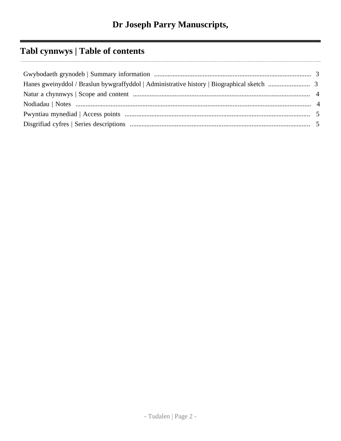# **Tabl cynnwys | Table of contents**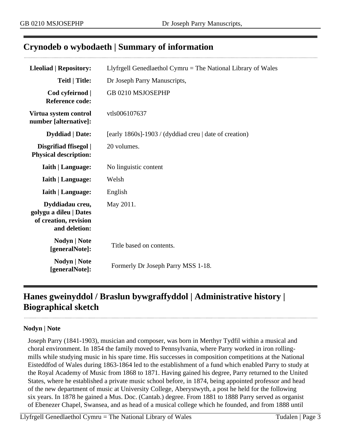### <span id="page-2-0"></span>**Crynodeb o wybodaeth | Summary of information**

| <b>Lleoliad   Repository:</b>                                                       | Llyfrgell Genedlaethol Cymru = The National Library of Wales |
|-------------------------------------------------------------------------------------|--------------------------------------------------------------|
| <b>Teitl   Title:</b>                                                               | Dr Joseph Parry Manuscripts,                                 |
| Cod cyfeirnod  <br><b>Reference code:</b>                                           | GB 0210 MSJOSEPHP                                            |
| Virtua system control<br>number [alternative]:                                      | vtls006107637                                                |
| <b>Dyddiad</b>   Date:                                                              | [early 1860s]-1903 / (dyddiad creu   date of creation)       |
| Disgrifiad ffisegol  <br><b>Physical description:</b>                               | 20 volumes.                                                  |
| <b>Iaith   Language:</b>                                                            | No linguistic content                                        |
| <b>Iaith   Language:</b>                                                            | Welsh                                                        |
| <b>Iaith   Language:</b>                                                            | English                                                      |
| Dyddiadau creu,<br>golygu a dileu   Dates<br>of creation, revision<br>and deletion: | May 2011.                                                    |
| Nodyn   Note<br>[generalNote]:                                                      | Title based on contents.                                     |
| Nodyn   Note<br>[generalNote]:                                                      | Formerly Dr Joseph Parry MSS 1-18.                           |

## <span id="page-2-1"></span>**Hanes gweinyddol / Braslun bywgraffyddol | Administrative history | Biographical sketch**

#### **Nodyn | Note**

Joseph Parry (1841-1903), musician and composer, was born in Merthyr Tydfil within a musical and choral environment. In 1854 the family moved to Pennsylvania, where Parry worked in iron rollingmills while studying music in his spare time. His successes in composition competitions at the National Eisteddfod of Wales during 1863-1864 led to the establishment of a fund which enabled Parry to study at the Royal Academy of Music from 1868 to 1871. Having gained his degree, Parry returned to the United States, where he established a private music school before, in 1874, being appointed professor and head of the new department of music at University College, Aberystwyth, a post he held for the following six years. In 1878 he gained a Mus. Doc. (Cantab.) degree. From 1881 to 1888 Parry served as organist of Ebenezer Chapel, Swansea, and as head of a musical college which he founded, and from 1888 until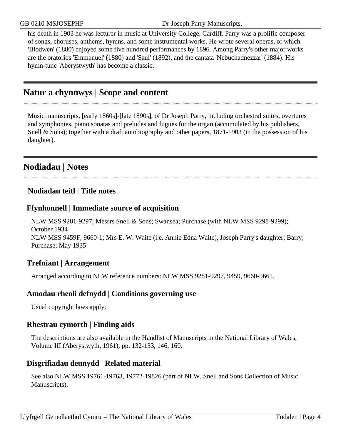his death in 1903 he was lecturer in music at University College, Cardiff. Parry was a prolific composer of songs, choruses, anthems, hymns, and some instrumental works. He wrote several operas, of which 'Blodwen' (1880) enjoyed some five hundred performances by 1896. Among Parry's other major works are the oratorios 'Emmanuel' (1880) and 'Saul' (1892), and the cantata 'Nebuchadnezzar' (1884). His hymn-tune 'Aberystwyth' has become a classic.

## <span id="page-3-0"></span>**Natur a chynnwys | Scope and content**

Music manuscripts, [early 1860s]-[late 1890s], of Dr Joseph Parry, including orchestral suites, overtures and symphonies, piano sonatas and preludes and fugues for the organ (accumulated by his publishers, Snell & Sons); together with a draft autobiography and other papers, 1871-1903 (in the possession of his daughter).

### <span id="page-3-1"></span>**Nodiadau | Notes**

#### **Nodiadau teitl | Title notes**

#### **Ffynhonnell | Immediate source of acquisition**

NLW MSS 9281-9297; Messrs Snell & Sons; Swansea; Purchase (with NLW MSS 9298-9299); October 1934 NLW MSS 9459F, 9660-1; Mrs E. W. Waite (i.e. Annie Edna Waite), Joseph Parry's daughter; Barry; Purchase; May 1935

#### **Trefniant | Arrangement**

Arranged according to NLW reference numbers: NLW MSS 9281-9297, 9459, 9660-9661.

#### **Amodau rheoli defnydd | Conditions governing use**

Usual copyright laws apply.

#### **Rhestrau cymorth | Finding aids**

The descriptions are also available in the Handlist of Manuscripts in the National Library of Wales, Volume III (Aberystwyth, 1961), pp. 132-133, 146, 160.

#### **Disgrifiadau deunydd | Related material**

See also NLW MSS 19761-19763, 19772-19826 (part of NLW, Snell and Sons Collection of Music Manuscripts).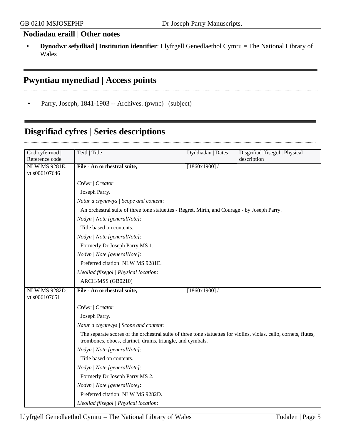#### **Nodiadau eraill | Other notes**

• **Dynodwr sefydliad | Institution identifier**: Llyfrgell Genedlaethol Cymru = The National Library of Wales

# <span id="page-4-0"></span>**Pwyntiau mynediad | Access points**

• Parry, Joseph, 1841-1903 -- Archives. (pwnc) | (subject)

## <span id="page-4-1"></span>**Disgrifiad cyfres | Series descriptions**

| Cod cyfeirnod        | Teitl   Title                                                                                                                                                                  | Dyddiadau   Dates | Disgrifiad ffisegol   Physical |
|----------------------|--------------------------------------------------------------------------------------------------------------------------------------------------------------------------------|-------------------|--------------------------------|
| Reference code       |                                                                                                                                                                                |                   | description                    |
| <b>NLW MS 9281E.</b> | File - An orchestral suite,                                                                                                                                                    | [1860x1900]       |                                |
| vtls006107646        |                                                                                                                                                                                |                   |                                |
|                      | Crëwr   Creator:                                                                                                                                                               |                   |                                |
|                      | Joseph Parry.                                                                                                                                                                  |                   |                                |
|                      | Natur a chynnwys / Scope and content:                                                                                                                                          |                   |                                |
|                      | An orchestral suite of three tone statuettes - Regret, Mirth, and Courage - by Joseph Parry.                                                                                   |                   |                                |
|                      | Nodyn   Note [generalNote]:                                                                                                                                                    |                   |                                |
|                      | Title based on contents.                                                                                                                                                       |                   |                                |
|                      | Nodyn   Note [generalNote]:                                                                                                                                                    |                   |                                |
|                      | Formerly Dr Joseph Parry MS 1.                                                                                                                                                 |                   |                                |
|                      | Nodyn   Note [generalNote]:                                                                                                                                                    |                   |                                |
|                      | Preferred citation: NLW MS 9281E.                                                                                                                                              |                   |                                |
|                      | Lleoliad ffisegol   Physical location:                                                                                                                                         |                   |                                |
|                      | ARCH/MSS (GB0210)                                                                                                                                                              |                   |                                |
| <b>NLW MS 9282D.</b> | File - An orchestral suite,                                                                                                                                                    | [1860x1900]       |                                |
| vtls006107651        |                                                                                                                                                                                |                   |                                |
|                      | Crëwr / Creator:                                                                                                                                                               |                   |                                |
|                      | Joseph Parry.                                                                                                                                                                  |                   |                                |
|                      | Natur a chynnwys / Scope and content:                                                                                                                                          |                   |                                |
|                      | The separate scores of the orchestral suite of three tone statuettes for violins, violas, cello, cornets, flutes,<br>trombones, oboes, clarinet, drums, triangle, and cymbals. |                   |                                |
|                      | Nodyn   Note [generalNote]:                                                                                                                                                    |                   |                                |
|                      | Title based on contents.                                                                                                                                                       |                   |                                |
|                      | Nodyn   Note [generalNote]:                                                                                                                                                    |                   |                                |
|                      | Formerly Dr Joseph Parry MS 2.                                                                                                                                                 |                   |                                |
|                      | Nodyn   Note [generalNote]:                                                                                                                                                    |                   |                                |
|                      | Preferred citation: NLW MS 9282D.                                                                                                                                              |                   |                                |
|                      | Lleoliad ffisegol   Physical location:                                                                                                                                         |                   |                                |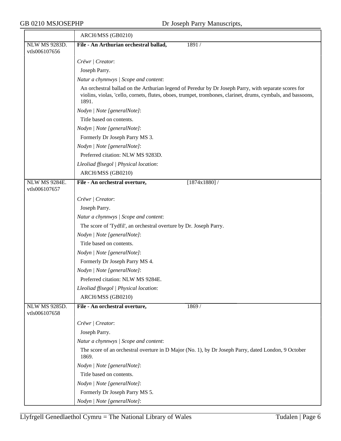|                                       | ARCH/MSS (GB0210)                                                                                                                                                                                                             |
|---------------------------------------|-------------------------------------------------------------------------------------------------------------------------------------------------------------------------------------------------------------------------------|
| NLW MS 9283D.                         | File - An Arthurian orchestral ballad,<br>1891 /                                                                                                                                                                              |
| vtls006107656                         |                                                                                                                                                                                                                               |
|                                       | Crëwr   Creator:                                                                                                                                                                                                              |
|                                       | Joseph Parry.                                                                                                                                                                                                                 |
|                                       | Natur a chynnwys / Scope and content:                                                                                                                                                                                         |
|                                       | An orchestral ballad on the Arthurian legend of Peredur by Dr Joseph Parry, with separate scores for<br>violins, violas, 'cello, cornets, flutes, oboes, trumpet, trombones, clarinet, drums, cymbals, and bassoons,<br>1891. |
|                                       | Nodyn   Note [generalNote]:                                                                                                                                                                                                   |
|                                       | Title based on contents.                                                                                                                                                                                                      |
|                                       | Nodyn   Note [generalNote]:                                                                                                                                                                                                   |
|                                       | Formerly Dr Joseph Parry MS 3.                                                                                                                                                                                                |
|                                       | Nodyn   Note [generalNote]:                                                                                                                                                                                                   |
|                                       | Preferred citation: NLW MS 9283D.                                                                                                                                                                                             |
|                                       | Lleoliad ffisegol   Physical location:                                                                                                                                                                                        |
|                                       | ARCH/MSS (GB0210)                                                                                                                                                                                                             |
| <b>NLW MS 9284E.</b>                  | File - An orchestral overture,<br>[1874x1880]/                                                                                                                                                                                |
| vtls006107657                         |                                                                                                                                                                                                                               |
|                                       | Crëwr   Creator:                                                                                                                                                                                                              |
|                                       | Joseph Parry.                                                                                                                                                                                                                 |
|                                       | Natur a chynnwys / Scope and content:                                                                                                                                                                                         |
|                                       | The score of 'Tydfil', an orchestral overture by Dr. Joseph Parry.                                                                                                                                                            |
|                                       | Nodyn   Note [generalNote]:                                                                                                                                                                                                   |
|                                       | Title based on contents.                                                                                                                                                                                                      |
|                                       | Nodyn   Note [generalNote]:                                                                                                                                                                                                   |
|                                       | Formerly Dr Joseph Parry MS 4.                                                                                                                                                                                                |
|                                       | Nodyn   Note [generalNote]:                                                                                                                                                                                                   |
|                                       | Preferred citation: NLW MS 9284E.                                                                                                                                                                                             |
|                                       | Lleoliad ffisegol   Physical location:                                                                                                                                                                                        |
|                                       | ARCH/MSS (GB0210)                                                                                                                                                                                                             |
| <b>NLW MS 9285D.</b><br>vtls006107658 | File - An orchestral overture,<br>1869/                                                                                                                                                                                       |
|                                       | Crëwr   Creator:                                                                                                                                                                                                              |
|                                       | Joseph Parry.                                                                                                                                                                                                                 |
|                                       | Natur a chynnwys / Scope and content:                                                                                                                                                                                         |
|                                       | The score of an orchestral overture in D Major (No. 1), by Dr Joseph Parry, dated London, 9 October<br>1869.                                                                                                                  |
|                                       | Nodyn   Note [generalNote]:                                                                                                                                                                                                   |
|                                       | Title based on contents.                                                                                                                                                                                                      |
|                                       | Nodyn   Note [generalNote]:                                                                                                                                                                                                   |
|                                       | Formerly Dr Joseph Parry MS 5.                                                                                                                                                                                                |
|                                       | Nodyn   Note [generalNote]:                                                                                                                                                                                                   |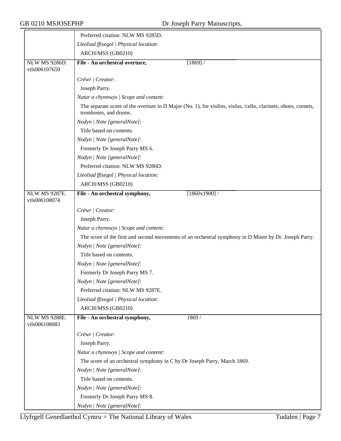|                                       | Preferred citation: NLW MS 9285D.                                                                                                       |
|---------------------------------------|-----------------------------------------------------------------------------------------------------------------------------------------|
|                                       | Lleoliad ffisegol   Physical location:                                                                                                  |
|                                       | ARCH/MSS (GB0210)                                                                                                                       |
| <b>NLW MS 9286D.</b><br>vtls006107659 | File - An orchestral overture,<br>$[1869]$ /                                                                                            |
|                                       | Crëwr   Creator:                                                                                                                        |
|                                       | Joseph Parry.                                                                                                                           |
|                                       | Natur a chynnwys / Scope and content:                                                                                                   |
|                                       | The separate score of the overture in D Major (No. 1), for violins, violas, 'cello, clarinets, oboes, cornets,<br>trombones, and drums. |
|                                       | Nodyn   Note [generalNote]:                                                                                                             |
|                                       | Title based on contents.                                                                                                                |
|                                       | Nodyn   Note [generalNote]:                                                                                                             |
|                                       | Formerly Dr Joseph Parry MS 6.                                                                                                          |
|                                       | Nodyn   Note [generalNote]:                                                                                                             |
|                                       | Preferred citation: NLW MS 9286D.                                                                                                       |
|                                       | Lleoliad ffisegol   Physical location:                                                                                                  |
|                                       | ARCH/MSS (GB0210)                                                                                                                       |
| <b>NLW MS 9287E.</b><br>vtls006108074 | [1860x1900]<br>File - An orchestral symphony,                                                                                           |
|                                       | Crëwr   Creator:                                                                                                                        |
|                                       | Joseph Parry.                                                                                                                           |
|                                       | Natur a chynnwys / Scope and content:                                                                                                   |
|                                       | The score of the first and second movements of an orchestral symphony in D Minor by Dr. Joseph Parry.                                   |
|                                       | Nodyn   Note [generalNote]:                                                                                                             |
|                                       | Title based on contents.                                                                                                                |
|                                       | Nodyn   Note [generalNote]:                                                                                                             |
|                                       | Formerly Dr Joseph Parry MS 7.                                                                                                          |
|                                       | Nodyn   Note [generalNote]:                                                                                                             |
|                                       | Preferred citation: NLW MS 9287E.                                                                                                       |
|                                       | Lleoliad ffisegol   Physical location:                                                                                                  |
|                                       | ARCH/MSS (GB0210)                                                                                                                       |
| <b>NLW MS 9288E.</b><br>vtls006108083 | File - An orchestral symphony,<br>1869/                                                                                                 |
|                                       | Crëwr   Creator:                                                                                                                        |
|                                       | Joseph Parry.                                                                                                                           |
|                                       | Natur a chynnwys / Scope and content:                                                                                                   |
|                                       | The score of an orchestral symphony in C by Dr Joseph Parry, March 1869.                                                                |
|                                       | Nodyn   Note [generalNote]:                                                                                                             |
|                                       | Title based on contents.                                                                                                                |
|                                       | Nodyn   Note [generalNote]:                                                                                                             |
|                                       | Formerly Dr Joseph Parry MS 8.                                                                                                          |
|                                       | Nodyn   Note [generalNote]:                                                                                                             |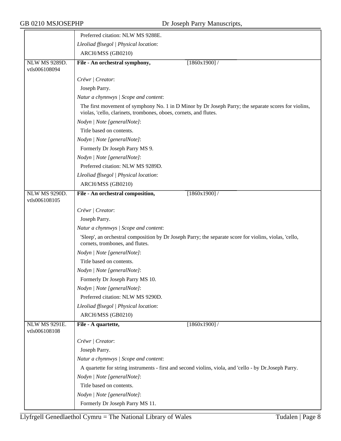|                                       | Preferred citation: NLW MS 9288E.                                                                                                                                         |
|---------------------------------------|---------------------------------------------------------------------------------------------------------------------------------------------------------------------------|
|                                       | Lleoliad ffisegol   Physical location:                                                                                                                                    |
|                                       | ARCH/MSS (GB0210)                                                                                                                                                         |
| <b>NLW MS 9289D.</b><br>vtls006108094 | File - An orchestral symphony,<br>$[1860x1900]$ /                                                                                                                         |
|                                       | Crëwr   Creator:                                                                                                                                                          |
|                                       | Joseph Parry.                                                                                                                                                             |
|                                       | Natur a chynnwys / Scope and content:                                                                                                                                     |
|                                       | The first movement of symphony No. 1 in D Minor by Dr Joseph Parry; the separate scores for violins,<br>violas, 'cello, clarinets, trombones, oboes, cornets, and flutes. |
|                                       | Nodyn   Note [generalNote]:                                                                                                                                               |
|                                       | Title based on contents.                                                                                                                                                  |
|                                       | Nodyn   Note [generalNote]:                                                                                                                                               |
|                                       | Formerly Dr Joseph Parry MS 9.                                                                                                                                            |
|                                       | Nodyn   Note [generalNote]:                                                                                                                                               |
|                                       | Preferred citation: NLW MS 9289D.                                                                                                                                         |
|                                       | Lleoliad ffisegol   Physical location:                                                                                                                                    |
|                                       | ARCH/MSS (GB0210)                                                                                                                                                         |
| <b>NLW MS 9290D.</b><br>vtls006108105 | $[1860x1900]$ /<br>File - An orchestral composition,                                                                                                                      |
|                                       | Crëwr   Creator:                                                                                                                                                          |
|                                       | Joseph Parry.                                                                                                                                                             |
|                                       | Natur a chynnwys / Scope and content:                                                                                                                                     |
|                                       | 'Sleep', an orchestral composition by Dr Joseph Parry; the separate score for violins, violas, 'cello,<br>cornets, trombones, and flutes.                                 |
|                                       | Nodyn   Note [generalNote]:                                                                                                                                               |
|                                       | Title based on contents.                                                                                                                                                  |
|                                       | Nodyn   Note [generalNote]:                                                                                                                                               |
|                                       | Formerly Dr Joseph Parry MS 10.                                                                                                                                           |
|                                       | Nodyn   Note [generalNote]:                                                                                                                                               |
|                                       | Preferred citation: NLW MS 9290D.                                                                                                                                         |
|                                       | Lleoliad ffisegol   Physical location:                                                                                                                                    |
|                                       | ARCH/MSS (GB0210)                                                                                                                                                         |
| <b>NLW MS 9291E.</b><br>vtls006108108 | [1860x1900]<br>File - A quartette,                                                                                                                                        |
|                                       | Crëwr   Creator:                                                                                                                                                          |
|                                       | Joseph Parry.                                                                                                                                                             |
|                                       | Natur a chynnwys / Scope and content:                                                                                                                                     |
|                                       | A quartette for string instruments - first and second violins, viola, and 'cello - by Dr.Joseph Parry.                                                                    |
|                                       | Nodyn   Note [generalNote]:                                                                                                                                               |
|                                       | Title based on contents.                                                                                                                                                  |
|                                       | Nodyn   Note [generalNote]:                                                                                                                                               |
|                                       | Formerly Dr Joseph Parry MS 11.                                                                                                                                           |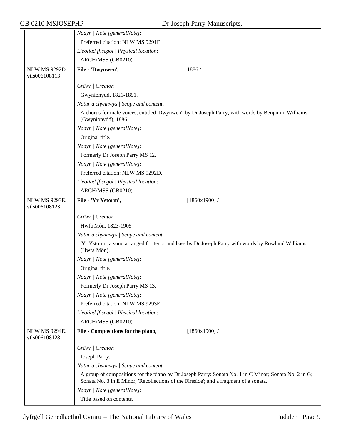|                                       | Nodyn   Note [generalNote]:                                                                                                                                                                    |
|---------------------------------------|------------------------------------------------------------------------------------------------------------------------------------------------------------------------------------------------|
|                                       | Preferred citation: NLW MS 9291E.                                                                                                                                                              |
|                                       | Lleoliad ffisegol   Physical location:                                                                                                                                                         |
|                                       | ARCH/MSS (GB0210)                                                                                                                                                                              |
| NLW MS 9292D.<br>vtls006108113        | File - 'Dwynwen',<br>1886/                                                                                                                                                                     |
|                                       | Crëwr   Creator:                                                                                                                                                                               |
|                                       | Gwynionydd, 1821-1891.                                                                                                                                                                         |
|                                       | Natur a chynnwys / Scope and content:                                                                                                                                                          |
|                                       | A chorus for male voices, entitled 'Dwynwen', by Dr Joseph Parry, with words by Benjamin Williams<br>(Gwynionydd), 1886.                                                                       |
|                                       | Nodyn   Note [generalNote]:                                                                                                                                                                    |
|                                       | Original title.                                                                                                                                                                                |
|                                       | Nodyn   Note [generalNote]:                                                                                                                                                                    |
|                                       | Formerly Dr Joseph Parry MS 12.                                                                                                                                                                |
|                                       | Nodyn   Note [generalNote]:                                                                                                                                                                    |
|                                       | Preferred citation: NLW MS 9292D.                                                                                                                                                              |
|                                       | Lleoliad ffisegol   Physical location:                                                                                                                                                         |
|                                       | ARCH/MSS (GB0210)                                                                                                                                                                              |
| <b>NLW MS 9293E.</b><br>vtls006108123 | File - 'Yr Ystorm',<br>$[1860x1900]$ /                                                                                                                                                         |
|                                       | Crëwr   Creator:                                                                                                                                                                               |
|                                       | Hwfa Môn, 1823-1905                                                                                                                                                                            |
|                                       | Natur a chynnwys / Scope and content:                                                                                                                                                          |
|                                       | 'Yr Ystorm', a song arranged for tenor and bass by Dr Joseph Parry with words by Rowland Williams<br>(Hwfa Môn).                                                                               |
|                                       | Nodyn   Note [generalNote]:                                                                                                                                                                    |
|                                       | Original title.                                                                                                                                                                                |
|                                       | Nodyn   Note [generalNote]:                                                                                                                                                                    |
|                                       | Formerly Dr Joseph Parry MS 13.                                                                                                                                                                |
|                                       | Nodyn   Note [generalNote]:                                                                                                                                                                    |
|                                       | Preferred citation: NLW MS 9293E.                                                                                                                                                              |
|                                       | Lleoliad ffisegol   Physical location:                                                                                                                                                         |
|                                       | ARCH/MSS (GB0210)                                                                                                                                                                              |
| <b>NLW MS 9294E.</b><br>vtls006108128 | File - Compositions for the piano,<br>[1860x1900]                                                                                                                                              |
|                                       | Crëwr   Creator:                                                                                                                                                                               |
|                                       | Joseph Parry.                                                                                                                                                                                  |
|                                       | Natur a chynnwys / Scope and content:                                                                                                                                                          |
|                                       | A group of compositions for the piano by Dr Joseph Parry: Sonata No. 1 in C Minor; Sonata No. 2 in G;<br>Sonata No. 3 in E Minor; 'Recollections of the Fireside'; and a fragment of a sonata. |
|                                       | Nodyn   Note [generalNote]:                                                                                                                                                                    |
|                                       | Title based on contents.                                                                                                                                                                       |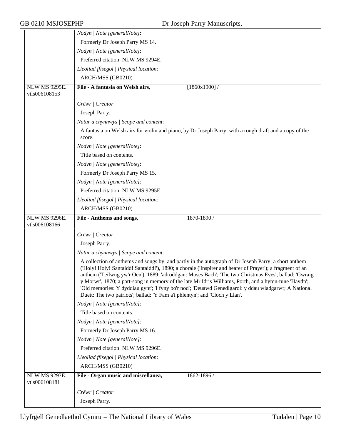|                                       | Nodyn   Note [generalNote]:                                                                                                                                                                                                                                                                                                                                                                                                                                                                                                                                                                                              |
|---------------------------------------|--------------------------------------------------------------------------------------------------------------------------------------------------------------------------------------------------------------------------------------------------------------------------------------------------------------------------------------------------------------------------------------------------------------------------------------------------------------------------------------------------------------------------------------------------------------------------------------------------------------------------|
|                                       | Formerly Dr Joseph Parry MS 14.                                                                                                                                                                                                                                                                                                                                                                                                                                                                                                                                                                                          |
|                                       | Nodyn   Note [generalNote]:                                                                                                                                                                                                                                                                                                                                                                                                                                                                                                                                                                                              |
|                                       | Preferred citation: NLW MS 9294E.                                                                                                                                                                                                                                                                                                                                                                                                                                                                                                                                                                                        |
|                                       | Lleoliad ffisegol   Physical location:                                                                                                                                                                                                                                                                                                                                                                                                                                                                                                                                                                                   |
|                                       | ARCH/MSS (GB0210)                                                                                                                                                                                                                                                                                                                                                                                                                                                                                                                                                                                                        |
| <b>NLW MS 9295E.</b>                  | File - A fantasia on Welsh airs,<br>[1860x1900]                                                                                                                                                                                                                                                                                                                                                                                                                                                                                                                                                                          |
| vtls006108153                         |                                                                                                                                                                                                                                                                                                                                                                                                                                                                                                                                                                                                                          |
|                                       | Crëwr   Creator:                                                                                                                                                                                                                                                                                                                                                                                                                                                                                                                                                                                                         |
|                                       | Joseph Parry.                                                                                                                                                                                                                                                                                                                                                                                                                                                                                                                                                                                                            |
|                                       | Natur a chynnwys / Scope and content:                                                                                                                                                                                                                                                                                                                                                                                                                                                                                                                                                                                    |
|                                       | A fantasia on Welsh airs for violin and piano, by Dr Joseph Parry, with a rough draft and a copy of the<br>score.                                                                                                                                                                                                                                                                                                                                                                                                                                                                                                        |
|                                       | Nodyn   Note [generalNote]:                                                                                                                                                                                                                                                                                                                                                                                                                                                                                                                                                                                              |
|                                       | Title based on contents.                                                                                                                                                                                                                                                                                                                                                                                                                                                                                                                                                                                                 |
|                                       | Nodyn   Note [generalNote]:                                                                                                                                                                                                                                                                                                                                                                                                                                                                                                                                                                                              |
|                                       | Formerly Dr Joseph Parry MS 15.                                                                                                                                                                                                                                                                                                                                                                                                                                                                                                                                                                                          |
|                                       | Nodyn   Note [generalNote]:                                                                                                                                                                                                                                                                                                                                                                                                                                                                                                                                                                                              |
|                                       | Preferred citation: NLW MS 9295E.                                                                                                                                                                                                                                                                                                                                                                                                                                                                                                                                                                                        |
|                                       | Lleoliad ffisegol   Physical location:                                                                                                                                                                                                                                                                                                                                                                                                                                                                                                                                                                                   |
|                                       | ARCH/MSS (GB0210)                                                                                                                                                                                                                                                                                                                                                                                                                                                                                                                                                                                                        |
| <b>NLW MS 9296E.</b><br>vtls006108166 | File - Anthems and songs,<br>1870-1890 /                                                                                                                                                                                                                                                                                                                                                                                                                                                                                                                                                                                 |
|                                       | Crëwr   Creator:                                                                                                                                                                                                                                                                                                                                                                                                                                                                                                                                                                                                         |
|                                       | Joseph Parry.                                                                                                                                                                                                                                                                                                                                                                                                                                                                                                                                                                                                            |
|                                       | Natur a chynnwys / Scope and content:                                                                                                                                                                                                                                                                                                                                                                                                                                                                                                                                                                                    |
|                                       | A collection of anthems and songs by, and partly in the autograph of Dr Joseph Parry; a short anthem<br>('Holy! Holy! Santaidd! Santaidd!'), 1890; a chorale ('Inspirer and hearer of Prayer'); a fragment of an<br>anthem ('Teilwng yw'r Oen'), 1889; 'adroddgan: Moses Bach'; 'The two Christmas Eves'; ballad: 'Gwraig<br>y Morwr', 1870; a part-song in memory of the late Mr Idris Williams, Porth, and a hymn-tune 'Haydn';<br>'Old memories: Y dyddiau gynt'; 'I fyny bo'r nod'; 'Deuawd Genedlgarol: y ddau wladgarwr; A National<br>Duett: The two patriots'; ballad: 'Y Fam a'i phlentyn'; and 'Cloch y Llan'. |
|                                       | Nodyn   Note [generalNote]:                                                                                                                                                                                                                                                                                                                                                                                                                                                                                                                                                                                              |
|                                       | Title based on contents.                                                                                                                                                                                                                                                                                                                                                                                                                                                                                                                                                                                                 |
|                                       | Nodyn   Note [generalNote]:                                                                                                                                                                                                                                                                                                                                                                                                                                                                                                                                                                                              |
|                                       | Formerly Dr Joseph Parry MS 16.                                                                                                                                                                                                                                                                                                                                                                                                                                                                                                                                                                                          |
|                                       | Nodyn   Note [generalNote]:                                                                                                                                                                                                                                                                                                                                                                                                                                                                                                                                                                                              |
|                                       | Preferred citation: NLW MS 9296E.                                                                                                                                                                                                                                                                                                                                                                                                                                                                                                                                                                                        |
|                                       | Lleoliad ffisegol   Physical location:                                                                                                                                                                                                                                                                                                                                                                                                                                                                                                                                                                                   |
|                                       |                                                                                                                                                                                                                                                                                                                                                                                                                                                                                                                                                                                                                          |
|                                       | ARCH/MSS (GB0210)                                                                                                                                                                                                                                                                                                                                                                                                                                                                                                                                                                                                        |
| <b>NLW MS 9297E.</b><br>vtls006108181 | File - Organ music and miscellanea,<br>1862-1896 /                                                                                                                                                                                                                                                                                                                                                                                                                                                                                                                                                                       |
|                                       | Crëwr   Creator:                                                                                                                                                                                                                                                                                                                                                                                                                                                                                                                                                                                                         |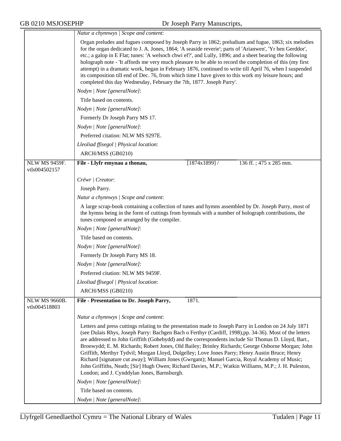|                                | Natur a chynnwys / Scope and content:                                                                                                                                                                                                                                                                                                                                                                                                                                                                                                                                                                                                                                                                                                                                                   |
|--------------------------------|-----------------------------------------------------------------------------------------------------------------------------------------------------------------------------------------------------------------------------------------------------------------------------------------------------------------------------------------------------------------------------------------------------------------------------------------------------------------------------------------------------------------------------------------------------------------------------------------------------------------------------------------------------------------------------------------------------------------------------------------------------------------------------------------|
|                                | Organ preludes and fugues composed by Joseph Parry in 1862; preludium and fugue, 1863; six melodies<br>for the organ dedicated to J. A. Jones, 1864; 'A seaside reverie'; parts of 'Arianwen', 'Yr hen Gerddor',<br>etc.; a galop in E Flat; tunes: 'A welsoch chwi ef?', and Lully, 1896; and a sheet bearing the following<br>holograph note - 'It affords me very much pleasure to be able to record the completion of this (my first<br>attempt) in a dramatic work, began in February 1876, continued to write till April 76, when I suspended<br>its composition till end of Dec. 76, from which time I have given to this work my leisure hours; and<br>completed this day Wednesday, February the 7th, 1877. Joseph Parry'.                                                     |
|                                | Nodyn   Note [generalNote]:                                                                                                                                                                                                                                                                                                                                                                                                                                                                                                                                                                                                                                                                                                                                                             |
|                                | Title based on contents.                                                                                                                                                                                                                                                                                                                                                                                                                                                                                                                                                                                                                                                                                                                                                                |
|                                | Nodyn   Note [generalNote]:                                                                                                                                                                                                                                                                                                                                                                                                                                                                                                                                                                                                                                                                                                                                                             |
|                                | Formerly Dr Joseph Parry MS 17.                                                                                                                                                                                                                                                                                                                                                                                                                                                                                                                                                                                                                                                                                                                                                         |
|                                | Nodyn   Note [generalNote]:                                                                                                                                                                                                                                                                                                                                                                                                                                                                                                                                                                                                                                                                                                                                                             |
|                                | Preferred citation: NLW MS 9297E.                                                                                                                                                                                                                                                                                                                                                                                                                                                                                                                                                                                                                                                                                                                                                       |
|                                | Lleoliad ffisegol   Physical location:                                                                                                                                                                                                                                                                                                                                                                                                                                                                                                                                                                                                                                                                                                                                                  |
|                                | ARCH/MSS (GB0210)                                                                                                                                                                                                                                                                                                                                                                                                                                                                                                                                                                                                                                                                                                                                                                       |
| NLW MS 9459F.<br>vtls004502157 | $[1874x1899]$ /<br>136 ff.; 475 x 285 mm.<br>File - Llyfr emynau a thonau,                                                                                                                                                                                                                                                                                                                                                                                                                                                                                                                                                                                                                                                                                                              |
|                                | Crëwr   Creator:                                                                                                                                                                                                                                                                                                                                                                                                                                                                                                                                                                                                                                                                                                                                                                        |
|                                | Joseph Parry.                                                                                                                                                                                                                                                                                                                                                                                                                                                                                                                                                                                                                                                                                                                                                                           |
|                                | Natur a chynnwys / Scope and content:                                                                                                                                                                                                                                                                                                                                                                                                                                                                                                                                                                                                                                                                                                                                                   |
|                                | A large scrap-book containing a collection of tunes and hymns assembled by Dr. Joseph Parry, most of<br>the hymns being in the form of cuttings from hymnals with a number of holograph contributions, the<br>tunes composed or arranged by the compiler.                                                                                                                                                                                                                                                                                                                                                                                                                                                                                                                               |
|                                | Nodyn   Note [generalNote]:                                                                                                                                                                                                                                                                                                                                                                                                                                                                                                                                                                                                                                                                                                                                                             |
|                                | Title based on contents.                                                                                                                                                                                                                                                                                                                                                                                                                                                                                                                                                                                                                                                                                                                                                                |
|                                | Nodyn / Note [generalNote]:                                                                                                                                                                                                                                                                                                                                                                                                                                                                                                                                                                                                                                                                                                                                                             |
|                                | Formerly Dr Joseph Parry MS 18.                                                                                                                                                                                                                                                                                                                                                                                                                                                                                                                                                                                                                                                                                                                                                         |
|                                | Nodyn   Note [generalNote]:                                                                                                                                                                                                                                                                                                                                                                                                                                                                                                                                                                                                                                                                                                                                                             |
|                                | Preferred citation: NLW MS 9459F.                                                                                                                                                                                                                                                                                                                                                                                                                                                                                                                                                                                                                                                                                                                                                       |
|                                | Lleoliad ffisegol   Physical location:                                                                                                                                                                                                                                                                                                                                                                                                                                                                                                                                                                                                                                                                                                                                                  |
|                                | ARCH/MSS (GB0210)                                                                                                                                                                                                                                                                                                                                                                                                                                                                                                                                                                                                                                                                                                                                                                       |
| NLW MS 9660B.<br>vtls004518803 | File - Presentation to Dr. Joseph Parry,<br>1871.                                                                                                                                                                                                                                                                                                                                                                                                                                                                                                                                                                                                                                                                                                                                       |
|                                | Natur a chynnwys / Scope and content:                                                                                                                                                                                                                                                                                                                                                                                                                                                                                                                                                                                                                                                                                                                                                   |
|                                | Letters and press cuttings relating to the presentation made to Joseph Parry in London on 24 July 1871<br>(see Dulais Rhys, Joseph Parry: Bachgen Bach o Ferthyr (Cardiff, 1998),pp. 34-36). Most of the letters<br>are addressed to John Griffith (Gohebydd) and the correspondents include Sir Thomas D. Lloyd, Bart.,<br>Bronwydd; E. M. Richards; Robert Jones, Old Bailey; Brinley Richards; George Osborne Morgan; John<br>Griffith, Merthyr Tydvil; Morgan Lloyd, Dolgelley; Love Jones Parry; Henry Austin Bruce; Henry<br>Richard [signature cut away]; William Jones (Gwrgant); Manuel Garcia, Royal Academy of Music;<br>John Griffiths, Neath; [Sir] Hugh Owen; Richard Davies, M.P.; Watkin Williams, M.P.; J. H. Puleston,<br>London; and J. Cynddylan Jones, Barnsburgh. |
|                                | Nodyn   Note [generalNote]:                                                                                                                                                                                                                                                                                                                                                                                                                                                                                                                                                                                                                                                                                                                                                             |
|                                | Title based on contents.                                                                                                                                                                                                                                                                                                                                                                                                                                                                                                                                                                                                                                                                                                                                                                |
|                                | Nodyn   Note [generalNote]:                                                                                                                                                                                                                                                                                                                                                                                                                                                                                                                                                                                                                                                                                                                                                             |